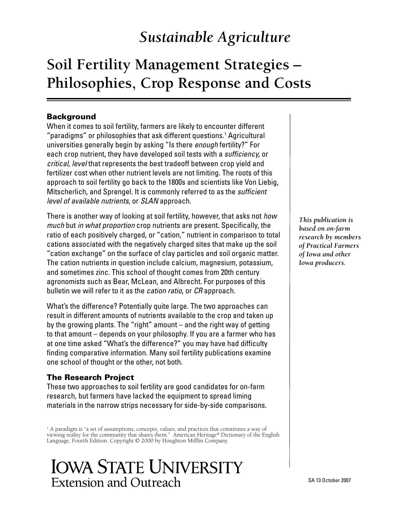## *Sustainable Agriculture*

# **Soil Fertility Management Strategies – Philosophies, Crop Response and Costs**

### Background

When it comes to soil fertility, farmers are likely to encounter different "paradigms" or philosophies that ask different questions.<sup>1</sup> Agricultural universities generally begin by asking "Is there *enough* fertility?" For each crop nutrient, they have developed soil tests with a *sufficiency,* or *critical, level* that represents the best tradeoff between crop yield and fertilizer cost when other nutrient levels are not limiting. The roots of this approach to soil fertility go back to the 1800s and scientists like Von Liebig, Mitscherlich, and Sprengel. It is commonly referred to as the *sufficient level of available nutrients*, or *SLAN* approach.

There is another way of looking at soil fertility, however, that asks not *how much* but *in what proportion* crop nutrients are present. Specifically, the ratio of each positively charged, or "cation," nutrient in comparison to total cations associated with the negatively charged sites that make up the soil "cation exchange" on the surface of clay particles and soil organic matter. The cation nutrients in question include calcium, magnesium, potassium, and sometimes zinc. This school of thought comes from 20th century agronomists such as Bear, McLean, and Albrecht. For purposes of this bulletin we will refer to it as the *cation ratio*, or *CR* approach.

What's the difference? Potentially quite large. The two approaches can result in different amounts of nutrients available to the crop and taken up by the growing plants. The "right" amount – and the right way of getting to that amount – depends on your philosophy. If you are a farmer who has at one time asked "What's the difference?" you may have had difficulty finding comparative information. Many soil fertility publications examine one school of thought or the other, not both.

#### The Research Project

These two approaches to soil fertility are good candidates for on-farm research, but farmers have lacked the equipment to spread liming materials in the narrow strips necessary for side-by-side comparisons.

<sup>1</sup> A paradigm is "a set of assumptions, concepts, values, and practices that constitutes a way of viewing reality for the community that shares them." American Heritage® Dictionary of the English Language, Fourth Edition. Copyright © 2000 by Houghton Mifflin Company.



*This publication is based on on-farm research by members of Practical Farmers of Iowa and other Iowa producers.*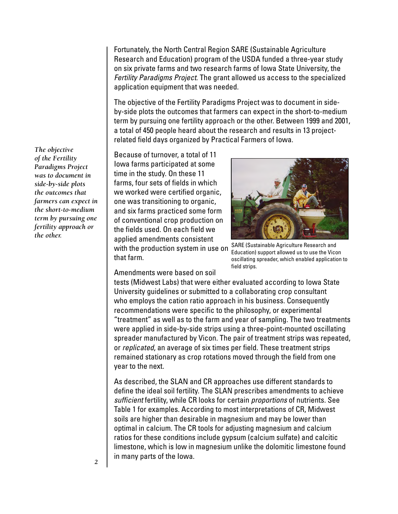Fortunately, the North Central Region SARE (Sustainable Agriculture Research and Education) program of the USDA funded a three-year study on six private farms and two research farms of Iowa State University, the *Fertility Paradigms Project*. The grant allowed us access to the specialized application equipment that was needed.

The objective of the Fertility Paradigms Project was to document in sideby-side plots the outcomes that farmers can expect in the short-to-medium term by pursuing one fertility approach or the other. Between 1999 and 2001, a total of 450 people heard about the research and results in 13 projectrelated field days organized by Practical Farmers of Iowa.

Because of turnover, a total of 11 Iowa farms participated at some time in the study. On these 11 farms, four sets of fields in which we worked were certified organic, one was transitioning to organic, and six farms practiced some form of conventional crop production on the fields used. On each field we applied amendments consistent with the production system in use on that farm.



SARE (Sustainable Agriculture Research and Education) support allowed us to use the Vicon oscillating spreader, which enabled application to field strips.

Amendments were based on soil

tests (Midwest Labs) that were either evaluated according to Iowa State University guidelines or submitted to a collaborating crop consultant who employs the cation ratio approach in his business. Consequently recommendations were specific to the philosophy, or experimental "treatment" as well as to the farm and year of sampling. The two treatments were applied in side-by-side strips using a three-point-mounted oscillating spreader manufactured by Vicon. The pair of treatment strips was repeated, or *replicated*, an average of six times per field. These treatment strips remained stationary as crop rotations moved through the field from one year to the next.

As described, the SLAN and CR approaches use different standards to define the ideal soil fertility. The SLAN prescribes amendments to achieve *sufficient* fertility, while CR looks for certain *proportions* of nutrients. See Table 1 for examples. According to most interpretations of CR, Midwest soils are higher than desirable in magnesium and may be lower than optimal in calcium. The CR tools for adjusting magnesium and calcium ratios for these conditions include gypsum (calcium sulfate) and calcitic limestone, which is low in magnesium unlike the dolomitic limestone found in many parts of the Iowa.

*The objective of the Fertility Paradigms Project was to document in side-by-side plots the outcomes that farmers can expect in the short-to-medium term by pursuing one fertility approach or the other.*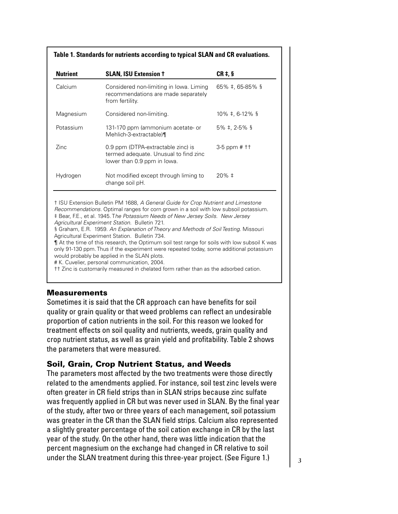| Table 1. Standards for nutrients according to typical SLAN and CR evaluations. |                                                                                                            |                              |  |  |  |  |
|--------------------------------------------------------------------------------|------------------------------------------------------------------------------------------------------------|------------------------------|--|--|--|--|
| <b>Nutrient</b>                                                                | <b>SLAN, ISU Extension +</b>                                                                               | $CR \ddagger, \S$            |  |  |  |  |
| Calcium                                                                        | Considered non-limiting in Iowa. Liming<br>recommendations are made separately<br>from fertility.          | $65\%$ ‡, 65-85% §           |  |  |  |  |
| Magnesium                                                                      | Considered non-limiting.                                                                                   | $10\% + 6 - 12\%$            |  |  |  |  |
| Potassium                                                                      | 131-170 ppm (ammonium acetate- or<br>Mehlich-3-extractable)¶                                               | $5\%$ ‡, 2-5% §              |  |  |  |  |
| Zinc.                                                                          | 0.9 ppm (DTPA-extractable zinc) is<br>termed adequate. Unusual to find zinc<br>lower than 0.9 ppm in lowa. | $3-5$ ppm # $\dagger\dagger$ |  |  |  |  |
| Hydrogen                                                                       | Not modified except through liming to<br>change soil pH.                                                   | $20\% \pm$                   |  |  |  |  |

† ISU Extension Bulletin PM 1688, *A General Guide for Crop Nutrient and Limestone Recommendations.* Optimal ranges for corn grown in a soil with low subsoil potassium. ‡ Bear, F.E., et al. 1945. T*he Potassium Needs of New Jersey Soils. New Jersey Agricultural Experiment Station*. Bulletin 721.

§ Graham, E.R. 1959. *An Explanation of Theory and Methods of Soil Testing*. Missouri Agricultural Experiment Station. Bulletin 734.

¶ At the time of this research, the Optimum soil test range for soils with low subsoil K was only 91-130 ppm. Thus if the experiment were repeated today, some additional potassium would probably be applied in the SLAN plots.

# K. Cuvelier, personal communication, 2004.

†† Zinc is customarily measured in chelated form rather than as the adsorbed cation.

#### **Measurements**

Sometimes it is said that the CR approach can have benefits for soil quality or grain quality or that weed problems can reflect an undesirable proportion of cation nutrients in the soil. For this reason we looked for treatment effects on soil quality and nutrients, weeds, grain quality and crop nutrient status, as well as grain yield and profitability. Table 2 shows the parameters that were measured.

## Soil, Grain, Crop Nutrient Status, and Weeds

The parameters most affected by the two treatments were those directly related to the amendments applied. For instance, soil test zinc levels were often greater in CR field strips than in SLAN strips because zinc sulfate was frequently applied in CR but was never used in SLAN. By the final year of the study, after two or three years of each management, soil potassium was greater in the CR than the SLAN field strips. Calcium also represented a slightly greater percentage of the soil cation exchange in CR by the last year of the study. On the other hand, there was little indication that the percent magnesium on the exchange had changed in CR relative to soil under the SLAN treatment during this three-year project. (See Figure 1.)  $\Big|$  3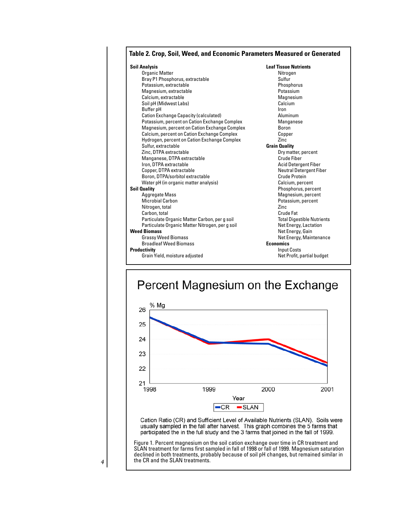| Table 2. Crop, Soil, Weed, and Economic Parameters Measured or Generated |                                   |  |  |  |
|--------------------------------------------------------------------------|-----------------------------------|--|--|--|
| <b>Soil Analysis</b>                                                     | <b>Leaf Tissue Nutrients</b>      |  |  |  |
| <b>Organic Matter</b>                                                    | Nitrogen                          |  |  |  |
| Bray P1 Phosphorus, extractable                                          | Sulfur                            |  |  |  |
| Potassium, extractable                                                   | Phosphorus                        |  |  |  |
| Magnesium, extractable                                                   | Potassium                         |  |  |  |
| Calcium, extractable                                                     | Magnesium                         |  |  |  |
| Soil pH (Midwest Labs)                                                   | Calcium                           |  |  |  |
| Buffer pH                                                                | Iron                              |  |  |  |
| <b>Cation Exchange Capacity (calculated)</b>                             | Aluminum                          |  |  |  |
| Potassium, percent on Cation Exchange Complex                            | Manganese                         |  |  |  |
| Magnesium, percent on Cation Exchange Complex                            | Boron                             |  |  |  |
| Calcium, percent on Cation Exchange Complex                              | Copper                            |  |  |  |
| Hydrogen, percent on Cation Exchange Complex                             | Zinc                              |  |  |  |
| Sulfur, extractable                                                      | <b>Grain Quality</b>              |  |  |  |
| Zinc, DTPA extractable                                                   | Dry matter, percent               |  |  |  |
| Manganese, DTPA extractable                                              | Crude Fiber                       |  |  |  |
| Iron, DTPA extractable                                                   | <b>Acid Detergent Fiber</b>       |  |  |  |
| Copper, DTPA extractable                                                 | <b>Neutral Detergent Fiber</b>    |  |  |  |
| Boron, DTPA/sorbitol extractable                                         | Crude Protein                     |  |  |  |
| Water pH (in organic matter analysis)                                    | Calcium, percent                  |  |  |  |
| <b>Soil Quality</b>                                                      | Phosphorus, percent               |  |  |  |
| <b>Aggregate Mass</b>                                                    | Magnesium, percent                |  |  |  |
| <b>Microbial Carbon</b>                                                  | Potassium, percent                |  |  |  |
| Nitrogen, total                                                          | Zinc                              |  |  |  |
| Carbon, total                                                            | Crude Fat                         |  |  |  |
| Particulate Organic Matter Carbon, per g soil                            | <b>Total Digestible Nutrients</b> |  |  |  |
| Particulate Organic Matter Nitrogen, per g soil                          | Net Energy, Lactation             |  |  |  |
| <b>Weed Biomass</b>                                                      | Net Energy, Gain                  |  |  |  |
| <b>Grassy Weed Biomass</b>                                               | Net Energy, Maintenance           |  |  |  |
| <b>Broadleaf Weed Biomass</b>                                            | <b>Economics</b>                  |  |  |  |
| <b>Productivity</b>                                                      | <b>Input Costs</b>                |  |  |  |
| Grain Yield, moisture adjusted                                           | Net Profit, partial budget        |  |  |  |
|                                                                          |                                   |  |  |  |





*4*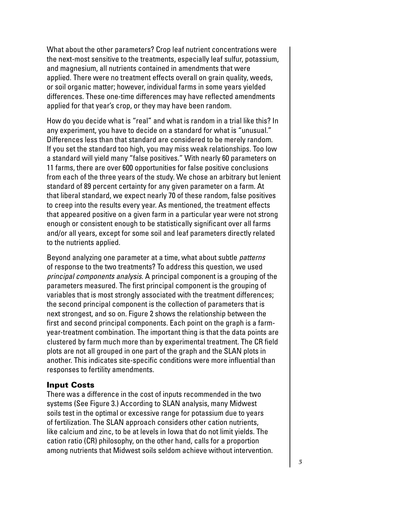What about the other parameters? Crop leaf nutrient concentrations were the next-most sensitive to the treatments, especially leaf sulfur, potassium, and magnesium, all nutrients contained in amendments that were applied. There were no treatment effects overall on grain quality, weeds, or soil organic matter; however, individual farms in some years yielded differences. These one-time differences may have reflected amendments applied for that year's crop, or they may have been random.

How do you decide what is "real" and what is random in a trial like this? In any experiment, you have to decide on a standard for what is "unusual." Differences less than that standard are considered to be merely random. If you set the standard too high, you may miss weak relationships. Too low a standard will yield many "false positives." With nearly 60 parameters on 11 farms, there are over 600 opportunities for false positive conclusions from each of the three years of the study. We chose an arbitrary but lenient standard of 89 percent certainty for any given parameter on a farm. At that liberal standard, we expect nearly 70 of these random, false positives to creep into the results every year. As mentioned, the treatment effects that appeared positive on a given farm in a particular year were not strong enough or consistent enough to be statistically significant over all farms and/or all years, except for some soil and leaf parameters directly related to the nutrients applied.

Beyond analyzing one parameter at a time, what about subtle *patterns* of response to the two treatments? To address this question, we used *principal components analysis*. A principal component is a grouping of the parameters measured. The first principal component is the grouping of variables that is most strongly associated with the treatment differences; the second principal component is the collection of parameters that is next strongest, and so on. Figure 2 shows the relationship between the first and second principal components. Each point on the graph is a farmyear-treatment combination. The important thing is that the data points are clustered by farm much more than by experimental treatment. The CR field plots are not all grouped in one part of the graph and the SLAN plots in another. This indicates site-specific conditions were more influential than responses to fertility amendments.

#### Input Costs

There was a difference in the cost of inputs recommended in the two systems (See Figure 3.) According to SLAN analysis, many Midwest soils test in the optimal or excessive range for potassium due to years of fertilization. The SLAN approach considers other cation nutrients, like calcium and zinc, to be at levels in Iowa that do not limit yields. The cation ratio (CR) philosophy, on the other hand, calls for a proportion among nutrients that Midwest soils seldom achieve without intervention.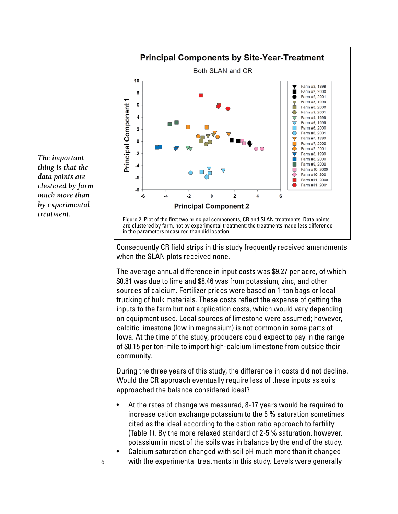

Consequently CR field strips in this study frequently received amendments when the SLAN plots received none.

The average annual difference in input costs was \$9.27 per acre, of which \$0.81 was due to lime and \$8.46 was from potassium, zinc, and other sources of calcium. Fertilizer prices were based on 1-ton bags or local trucking of bulk materials. These costs reflect the expense of getting the inputs to the farm but not application costs, which would vary depending on equipment used. Local sources of limestone were assumed; however, calcitic limestone (low in magnesium) is not common in some parts of Iowa. At the time of the study, producers could expect to pay in the range of \$0.15 per ton-mile to import high-calcium limestone from outside their community.

During the three years of this study, the difference in costs did not decline. Would the CR approach eventually require less of these inputs as soils approached the balance considered ideal?

- At the rates of change we measured, 8-17 years would be required to increase cation exchange potassium to the 5 % saturation sometimes cited as the ideal according to the cation ratio approach to fertility (Table 1). By the more relaxed standard of 2-5 % saturation, however, potassium in most of the soils was in balance by the end of the study.
- Calcium saturation changed with soil pH much more than it changed  $6$  with the experimental treatments in this study. Levels were generally

*The important thing is that the data points are clustered by farm much more than by experimental treatment.*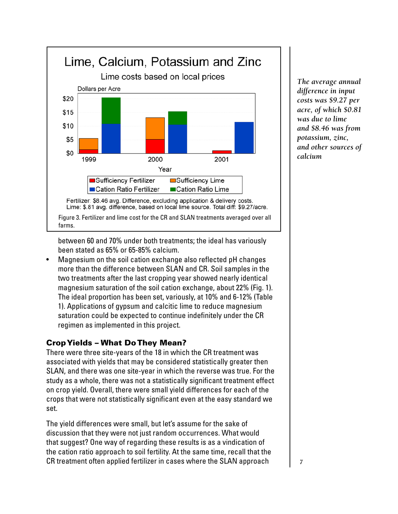

*The average annual difference in input costs was \$9.27 per acre, of which \$0.81 was due to lime and \$8.46 was from potassium, zinc, and other sources of calcium*

between 60 and 70% under both treatments; the ideal has variously been stated as 65% or 65-85% calcium.

• Magnesium on the soil cation exchange also reflected pH changes more than the difference between SLAN and CR. Soil samples in the two treatments after the last cropping year showed nearly identical magnesium saturation of the soil cation exchange, about 22% (Fig. 1). The ideal proportion has been set, variously, at 10% and 6-12% (Table 1). Applications of gypsum and calcitic lime to reduce magnesium saturation could be expected to continue indefinitely under the CR regimen as implemented in this project.

## Crop Yields – What Do They Mean?

There were three site-years of the 18 in which the CR treatment was associated with yields that may be considered statistically greater then SLAN, and there was one site-year in which the reverse was true. For the study as a whole, there was not a statistically significant treatment effect on crop yield. Overall, there were small yield differences for each of the crops that were not statistically significant even at the easy standard we set.

The yield differences were small, but let's assume for the sake of discussion that they were not just random occurrences. What would that suggest? One way of regarding these results is as a vindication of the cation ratio approach to soil fertility. At the same time, recall that the CR treatment often applied fertilizer in cases where the SLAN approach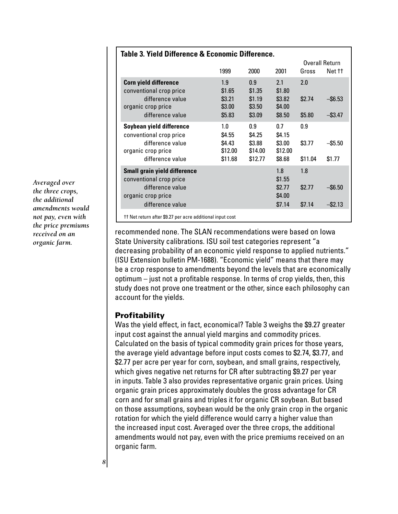| Table 3. Yield Difference & Economic Difference.                                                                             |                                               |                                               |                                              |                          |                          |  |  |
|------------------------------------------------------------------------------------------------------------------------------|-----------------------------------------------|-----------------------------------------------|----------------------------------------------|--------------------------|--------------------------|--|--|
|                                                                                                                              |                                               |                                               |                                              | Overall Return           |                          |  |  |
|                                                                                                                              | 1999                                          | 2000                                          | 2001                                         | Gross                    | Net ††                   |  |  |
| <b>Corn yield difference</b><br>conventional crop price<br>difference value<br>organic crop price<br>difference value        | 1.9<br>\$1.65<br>\$3.21<br>\$3.00<br>\$5.83   | 0.9<br>\$1.35<br>\$1.19<br>\$3.50<br>\$3.09   | 2.1<br>\$1.80<br>\$3.82<br>\$4.00<br>\$8.50  | 2.0<br>\$2.74<br>\$5.80  | $-$ \$6.53<br>$-$ \$3.47 |  |  |
| Soybean yield difference<br>conventional crop price<br>difference value<br>organic crop price<br>difference value            | 1.0<br>\$4.55<br>\$4.43<br>\$12.00<br>\$11.68 | 0.9<br>\$4.25<br>\$3.88<br>\$14.00<br>\$12.77 | 0.7<br>\$4.15<br>\$3.00<br>\$12.00<br>\$8.68 | 0.9<br>\$3.77<br>\$11.04 | $-$ \$5.50<br>\$1.77     |  |  |
| <b>Small grain yield difference</b><br>conventional crop price<br>difference value<br>organic crop price<br>difference value |                                               |                                               | 1.8<br>\$1.55<br>\$2.77<br>\$4.00<br>\$7.14  | 1.8<br>\$2.77<br>\$7.14  | $-$ \$6.50<br>$-$ \$2.13 |  |  |
| tt Net return after \$9.27 per acre additional input cost                                                                    |                                               |                                               |                                              |                          |                          |  |  |

recommended none. The SLAN recommendations were based on Iowa State University calibrations. ISU soil test categories represent "a decreasing probability of an economic yield response to applied nutrients." (ISU Extension bulletin PM-1688). "Economic yield" means that there may be a crop response to amendments beyond the levels that are economically optimum – just not a profitable response. In terms of crop yields, then, this study does not prove one treatment or the other, since each philosophy can account for the yields.

## **Profitability**

Was the yield effect, in fact, economical? Table 3 weighs the \$9.27 greater input cost against the annual yield margins and commodity prices. Calculated on the basis of typical commodity grain prices for those years, the average yield advantage before input costs comes to \$2.74, \$3.77, and \$2.77 per acre per year for corn, soybean, and small grains, respectively, which gives negative net returns for CR after subtracting \$9.27 per year in inputs. Table 3 also provides representative organic grain prices. Using organic grain prices approximately doubles the gross advantage for CR corn and for small grains and triples it for organic CR soybean. But based on those assumptions, soybean would be the only grain crop in the organic rotation for which the yield difference would carry a higher value than the increased input cost. Averaged over the three crops, the additional amendments would not pay, even with the price premiums received on an organic farm.

*Averaged over the three crops, the additional amendments would not pay, even with the price premiums received on an organic farm.*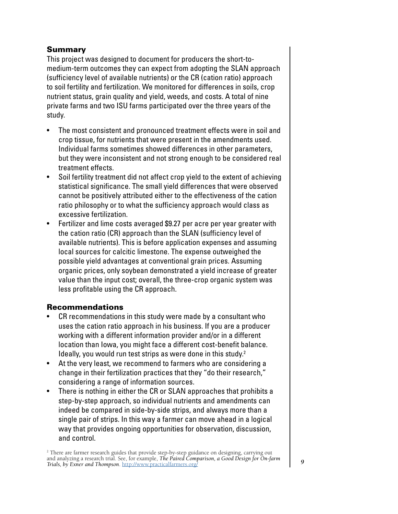## Summary

This project was designed to document for producers the short-tomedium-term outcomes they can expect from adopting the SLAN approach (sufficiency level of available nutrients) or the CR (cation ratio) approach to soil fertility and fertilization. We monitored for differences in soils, crop nutrient status, grain quality and yield, weeds, and costs. A total of nine private farms and two ISU farms participated over the three years of the study.

- The most consistent and pronounced treatment effects were in soil and crop tissue, for nutrients that were present in the amendments used. Individual farms sometimes showed differences in other parameters, but they were inconsistent and not strong enough to be considered real treatment effects.
- Soil fertility treatment did not affect crop yield to the extent of achieving statistical significance. The small yield differences that were observed cannot be positively attributed either to the effectiveness of the cation ratio philosophy or to what the sufficiency approach would class as excessive fertilization.
- Fertilizer and lime costs averaged \$9.27 per acre per year greater with the cation ratio (CR) approach than the SLAN (sufficiency level of available nutrients). This is before application expenses and assuming local sources for calcitic limestone. The expense outweighed the possible yield advantages at conventional grain prices. Assuming organic prices, only soybean demonstrated a yield increase of greater value than the input cost; overall, the three-crop organic system was less profitable using the CR approach.

## Recommendations

- CR recommendations in this study were made by a consultant who uses the cation ratio approach in his business. If you are a producer working with a different information provider and/or in a different location than Iowa, you might face a different cost-benefit balance. Ideally, you would run test strips as were done in this study.<sup>2</sup>
- At the very least, we recommend to farmers who are considering a change in their fertilization practices that they "do their research," considering a range of information sources.
- There is nothing in either the CR or SLAN approaches that prohibits a step-by-step approach, so individual nutrients and amendments can indeed be compared in side-by-side strips, and always more than a single pair of strips. In this way a farmer can move ahead in a logical way that provides ongoing opportunities for observation, discussion, and control.

<sup>2</sup> There are farmer research guides that provide step-by-step guidance on designing, carrying out and analyzing a research trial. See, for example, *The Paired Comparison, a Good Design for On-farm Trials, by Exner and Thompson*. <http://www.practicalfarmers.org/>